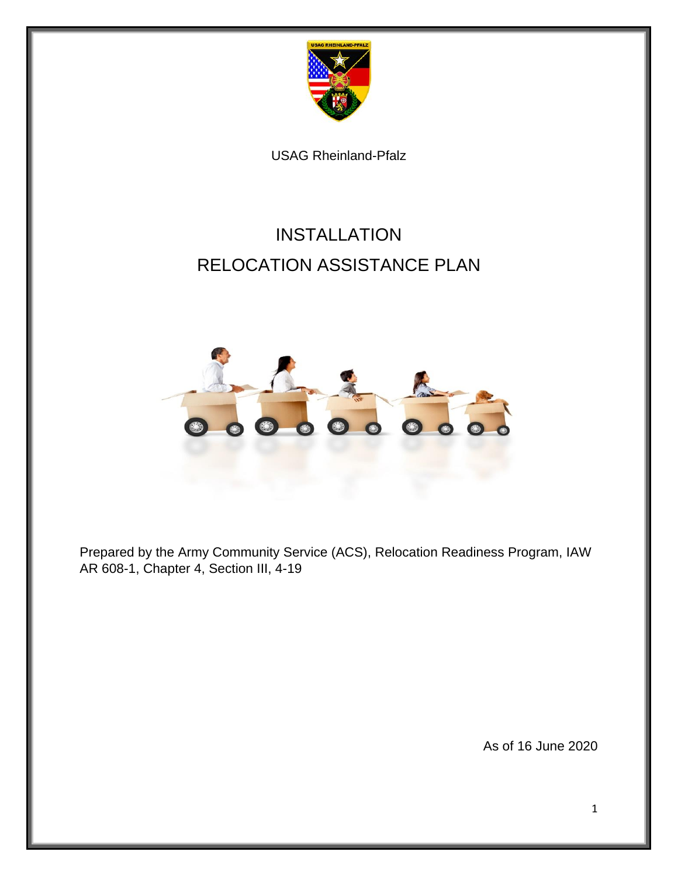

USAG Rheinland-Pfalz

# INSTALLATION RELOCATION ASSISTANCE PLAN



Prepared by the Army Community Service (ACS), Relocation Readiness Program, IAW AR 608-1, Chapter 4, Section III, 4-19

As of 16 June 2020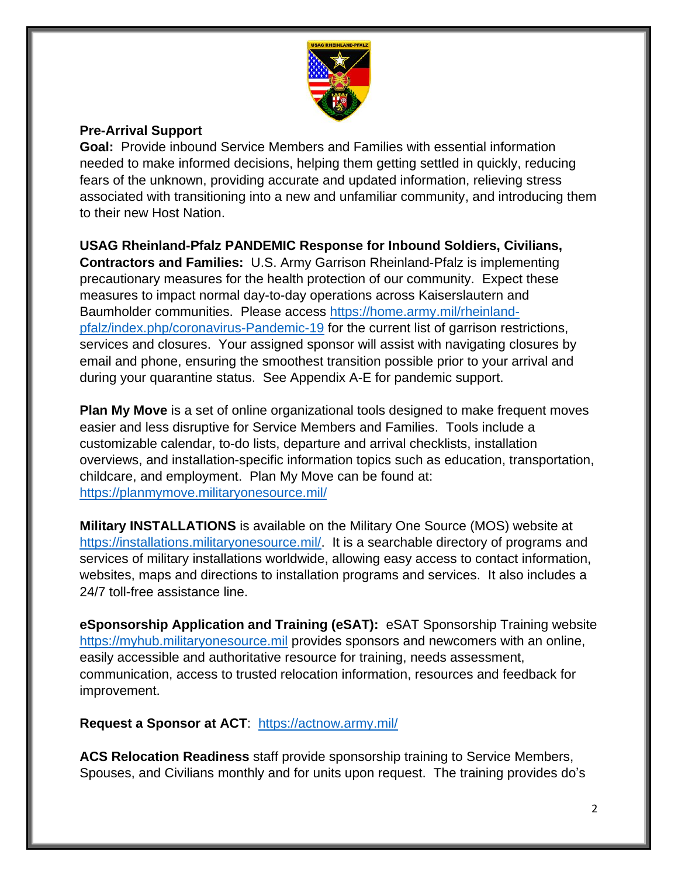

## **Pre-Arrival Support**

**Goal:** Provide inbound Service Members and Families with essential information needed to make informed decisions, helping them getting settled in quickly, reducing fears of the unknown, providing accurate and updated information, relieving stress associated with transitioning into a new and unfamiliar community, and introducing them to their new Host Nation.

**USAG Rheinland-Pfalz PANDEMIC Response for Inbound Soldiers, Civilians,** 

**Contractors and Families:** U.S. Army Garrison Rheinland-Pfalz is implementing precautionary measures for the health protection of our community. Expect these measures to impact normal day-to-day operations across Kaiserslautern and Baumholder communities. Please access [https://home.army.mil/rheinland](https://home.army.mil/rheinland-pfalz/index.php/coronavirus-covid-19)[pfalz/index.php/coronavirus-Pandemic-19](https://home.army.mil/rheinland-pfalz/index.php/coronavirus-covid-19) for the current list of garrison restrictions, services and closures. Your assigned sponsor will assist with navigating closures by email and phone, ensuring the smoothest transition possible prior to your arrival and during your quarantine status. See Appendix A-E for pandemic support.

**Plan My Move** is a set of online organizational tools designed to make frequent moves easier and less disruptive for Service Members and Families. Tools include a customizable calendar, to-do lists, departure and arrival checklists, installation overviews, and installation-specific information topics such as education, transportation, childcare, and employment. Plan My Move can be found at: <https://planmymove.militaryonesource.mil/>

**Military INSTALLATIONS** is available on the Military One Source (MOS) website at [https://installations.militaryonesource.mil/.](https://installations.militaryonesource.mil/) It is a searchable directory of programs and services of military installations worldwide, allowing easy access to contact information, websites, maps and directions to installation programs and services. It also includes a 24/7 toll-free assistance line.

**eSponsorship Application and Training (eSAT):** eSAT Sponsorship Training website [https://myhub.militaryonesource.mil](https://myhub.militaryonesource.mil/) provides sponsors and newcomers with an online, easily accessible and authoritative resource for training, needs assessment, communication, access to trusted relocation information, resources and feedback for improvement.

**Request a Sponsor at ACT**: <https://actnow.army.mil/>

**ACS Relocation Readiness** staff provide sponsorship training to Service Members, Spouses, and Civilians monthly and for units upon request. The training provides do's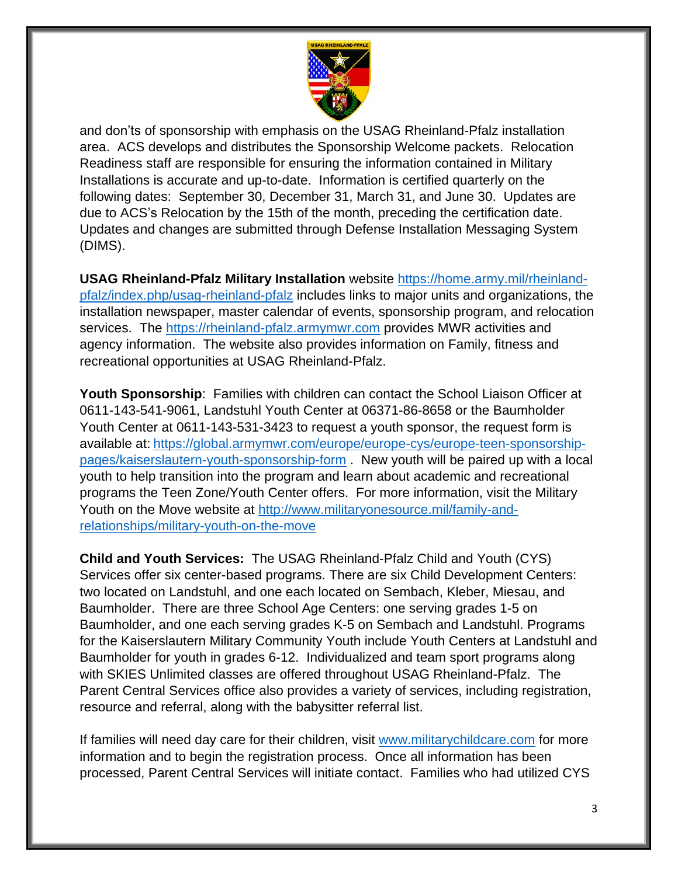

and don'ts of sponsorship with emphasis on the USAG Rheinland-Pfalz installation area. ACS develops and distributes the Sponsorship Welcome packets. Relocation Readiness staff are responsible for ensuring the information contained in Military Installations is accurate and up-to-date. Information is certified quarterly on the following dates: September 30, December 31, March 31, and June 30. Updates are due to ACS's Relocation by the 15th of the month, preceding the certification date. Updates and changes are submitted through Defense Installation Messaging System (DIMS).

**USAG Rheinland-Pfalz Military Installation** website [https://home.army.mil/rheinland](https://home.army.mil/rheinland-pfalz/index.php/usag-rheinland-pfalz)[pfalz/index.php/usag-rheinland-pfalz](https://home.army.mil/rheinland-pfalz/index.php/usag-rheinland-pfalz) includes links to major units and organizations, the installation newspaper, master calendar of events, sponsorship program, and relocation services. The [https://rheinland-pfalz.armymwr.com](https://rheinland-pfalz.armymwr.com/) provides MWR activities and agency information. The website also provides information on Family, fitness and recreational opportunities at USAG Rheinland-Pfalz.

**Youth Sponsorship**: Families with children can contact the School Liaison Officer at 0611-143-541-9061, Landstuhl Youth Center at 06371-86-8658 or the Baumholder Youth Center at 0611-143-531-3423 to request a youth sponsor, the request form is available at: [https://global.armymwr.com/europe/europe-cys/europe-teen-sponsorship](https://global.armymwr.com/europe/europe-cys/europe-teen-sponsorship-pages/kaiserslautern-youth-sponsorship-form)[pages/kaiserslautern-youth-sponsorship-form](https://global.armymwr.com/europe/europe-cys/europe-teen-sponsorship-pages/kaiserslautern-youth-sponsorship-form) . New youth will be paired up with a local youth to help transition into the program and learn about academic and recreational programs the Teen Zone/Youth Center offers. For more information, visit the Military Youth on the Move website at [http://www.militaryonesource.mil/family-and](http://www.militaryonesource.mil/family-and-relationships/military-youth-on-the-move)[relationships/military-youth-on-the-move](http://www.militaryonesource.mil/family-and-relationships/military-youth-on-the-move)

**Child and Youth Services:** The USAG Rheinland-Pfalz Child and Youth (CYS) Services offer six center-based programs. There are six Child Development Centers: two located on Landstuhl, and one each located on Sembach, Kleber, Miesau, and Baumholder. There are three School Age Centers: one serving grades 1-5 on Baumholder, and one each serving grades K-5 on Sembach and Landstuhl. Programs for the Kaiserslautern Military Community Youth include Youth Centers at Landstuhl and Baumholder for youth in grades 6-12. Individualized and team sport programs along with SKIES Unlimited classes are offered throughout USAG Rheinland-Pfalz. The Parent Central Services office also provides a variety of services, including registration, resource and referral, along with the babysitter referral list.

If families will need day care for their children, visit [www.militarychildcare.com](http://www.militarychildcare.com/) for more information and to begin the registration process. Once all information has been processed, Parent Central Services will initiate contact. Families who had utilized CYS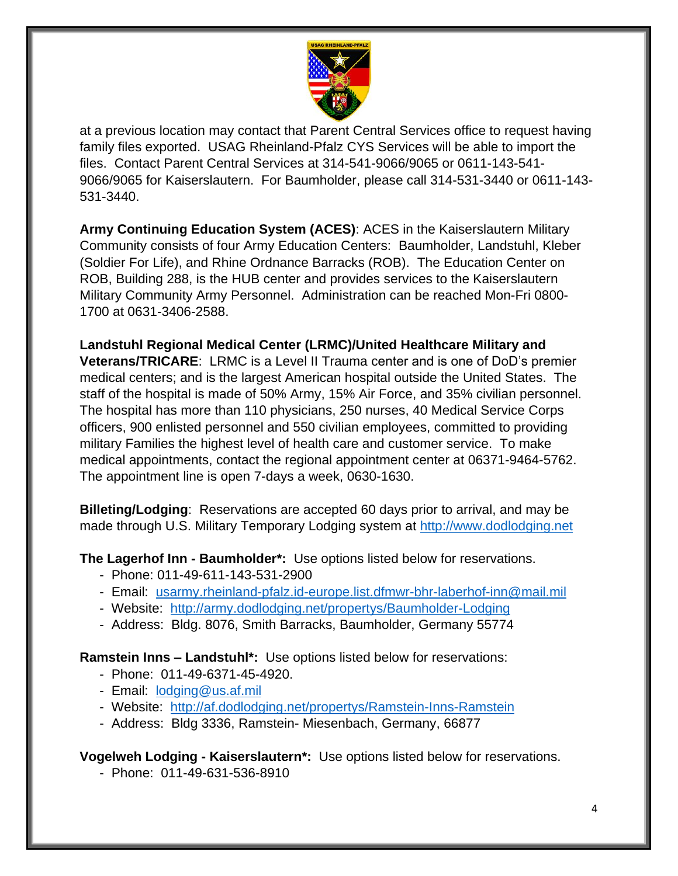

at a previous location may contact that Parent Central Services office to request having family files exported. USAG Rheinland-Pfalz CYS Services will be able to import the files. Contact Parent Central Services at 314-541-9066/9065 or 0611-143-541- 9066/9065 for Kaiserslautern. For Baumholder, please call 314-531-3440 or 0611-143- 531-3440.

**Army Continuing Education System (ACES)**: ACES in the Kaiserslautern Military Community consists of four Army Education Centers: Baumholder, Landstuhl, Kleber (Soldier For Life), and Rhine Ordnance Barracks (ROB). The Education Center on ROB, Building 288, is the HUB center and provides services to the Kaiserslautern Military Community Army Personnel. Administration can be reached Mon-Fri 0800- 1700 at 0631-3406-2588.

**Landstuhl Regional Medical Center (LRMC)/United Healthcare Military and Veterans/TRICARE**: LRMC is a Level II Trauma center and is one of DoD's premier medical centers; and is the largest American hospital outside the United States. The staff of the hospital is made of 50% Army, 15% Air Force, and 35% civilian personnel. The hospital has more than 110 physicians, 250 nurses, 40 Medical Service Corps officers, 900 enlisted personnel and 550 civilian employees, committed to providing military Families the highest level of health care and customer service. To make medical appointments, contact the regional appointment center at 06371-9464-5762. The appointment line is open 7-days a week, 0630-1630.

**Billeting/Lodging**: Reservations are accepted 60 days prior to arrival, and may be made through U.S. Military Temporary Lodging system at [http://www.dodlodging.net](http://www.dodlodging.nett/)

**The Lagerhof Inn - Baumholder\*:** Use options listed below for reservations.

- Phone: 011-49-611-143-531-2900
- Email: [usarmy.rheinland-pfalz.id-europe.list.dfmwr-bhr-laberhof-inn@mail.mil](mailto:usarmy.rheinland-pfalz.id-europe.list.dfmwr-bhr-laberhof-inn@mail.mil)
- Website: <http://army.dodlodging.net/propertys/Baumholder-Lodging>
- Address: Bldg. 8076, Smith Barracks, Baumholder, Germany 55774

**Ramstein Inns – Landstuhl\*:** Use options listed below for reservations:

- Phone: 011-49-6371-45-4920.
- Email: [lodging@us.af.mil](mailto:lodging@us.af.mil)
- Website: <http://af.dodlodging.net/propertys/Ramstein-Inns-Ramstein>
- Address: Bldg 3336, Ramstein- Miesenbach, Germany, 66877

**Vogelweh Lodging - Kaiserslautern\*:** Use options listed below for reservations.

- Phone: 011-49-631-536-8910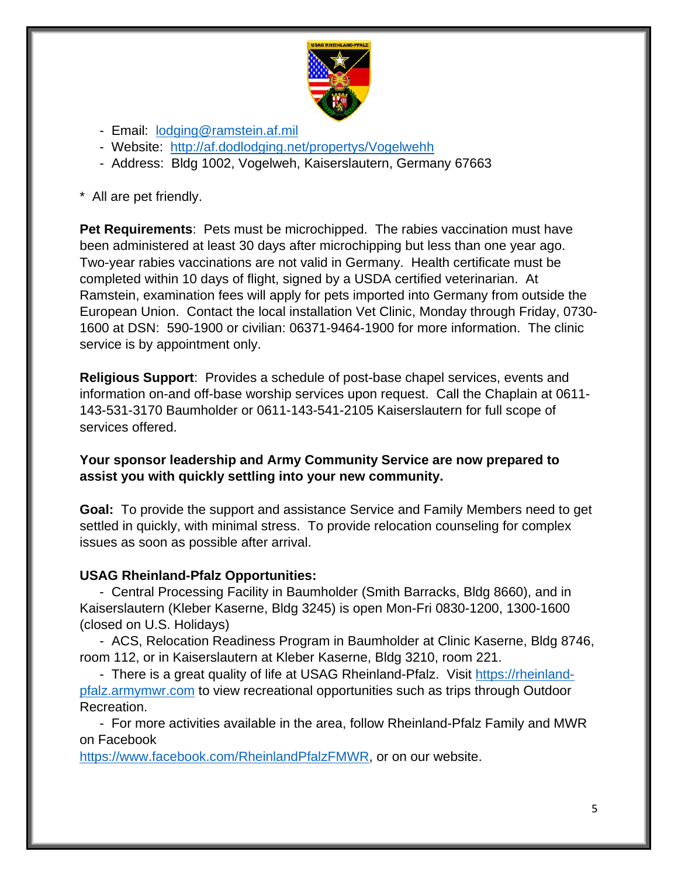

- Email: [lodging@ramstein.af.mil](mailto:lodging@ramstein.af.mil)
- Website: <http://af.dodlodging.net/propertys/Vogelwehh>
- Address: Bldg 1002, Vogelweh, Kaiserslautern, Germany 67663
- \* All are pet friendly.

**Pet Requirements**: Pets must be microchipped. The rabies vaccination must have been administered at least 30 days after microchipping but less than one year ago. Two-year rabies vaccinations are not valid in Germany. Health certificate must be completed within 10 days of flight, signed by a USDA certified veterinarian. At Ramstein, examination fees will apply for pets imported into Germany from outside the European Union. Contact the local installation Vet Clinic, Monday through Friday, 0730- 1600 at DSN: 590-1900 or civilian: 06371-9464-1900 for more information. The clinic service is by appointment only.

**Religious Support**: Provides a schedule of post-base chapel services, events and information on-and off-base worship services upon request. Call the Chaplain at 0611- 143-531-3170 Baumholder or 0611-143-541-2105 Kaiserslautern for full scope of services offered.

#### **Your sponsor leadership and Army Community Service are now prepared to assist you with quickly settling into your new community.**

**Goal:** To provide the support and assistance Service and Family Members need to get settled in quickly, with minimal stress. To provide relocation counseling for complex issues as soon as possible after arrival.

#### **USAG Rheinland-Pfalz Opportunities:**

- Central Processing Facility in Baumholder (Smith Barracks, Bldg 8660), and in Kaiserslautern (Kleber Kaserne, Bldg 3245) is open Mon-Fri 0830-1200, 1300-1600 (closed on U.S. Holidays)

- ACS, Relocation Readiness Program in Baumholder at Clinic Kaserne, Bldg 8746, room 112, or in Kaiserslautern at Kleber Kaserne, Bldg 3210, room 221.

- There is a great quality of life at USAG Rheinland-Pfalz. Visit [https://rheinland](https://rheinland-pfalz.armymwr.com/)[pfalz.armymwr.com](https://rheinland-pfalz.armymwr.com/) to view recreational opportunities such as trips through Outdoor Recreation.

- For more activities available in the area, follow Rheinland-Pfalz Family and MWR on Facebook

[https://www.facebook.com/RheinlandPfalzFMWR,](https://www.facebook.com/RheinlandPfalzFMWR) or on our website.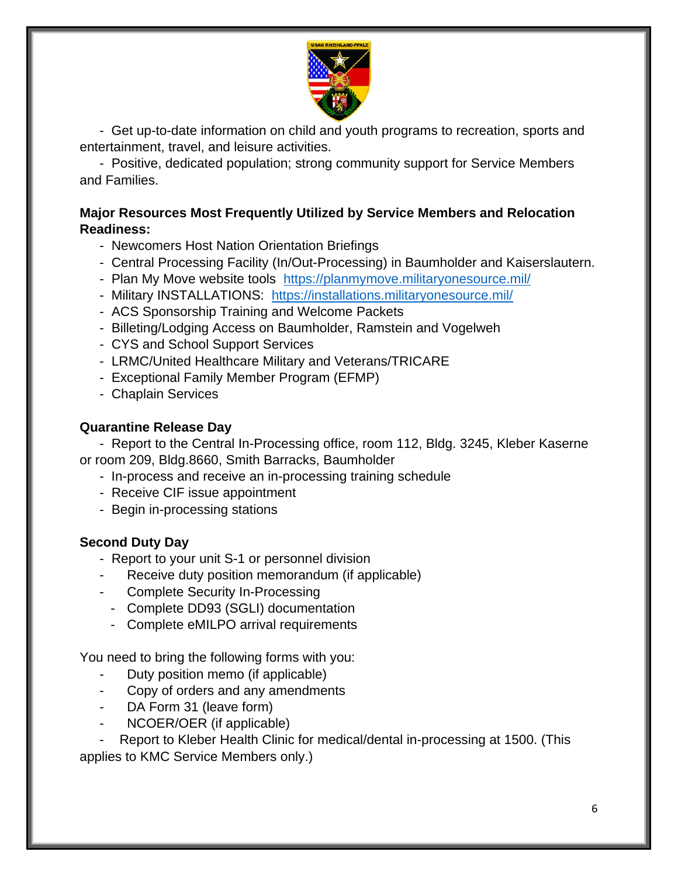

- Get up-to-date information on child and youth programs to recreation, sports and entertainment, travel, and leisure activities.

- Positive, dedicated population; strong community support for Service Members and Families.

## **Major Resources Most Frequently Utilized by Service Members and Relocation Readiness:**

- Newcomers Host Nation Orientation Briefings
- Central Processing Facility (In/Out-Processing) in Baumholder and Kaiserslautern.
- Plan My Move website tools <https://planmymove.militaryonesource.mil/>
- Military INSTALLATIONS: <https://installations.militaryonesource.mil/>
- ACS Sponsorship Training and Welcome Packets
- Billeting/Lodging Access on Baumholder, Ramstein and Vogelweh
- CYS and School Support Services
- LRMC/United Healthcare Military and Veterans/TRICARE
- Exceptional Family Member Program (EFMP)
- Chaplain Services

#### **Quarantine Release Day**

- Report to the Central In-Processing office, room 112, Bldg. 3245, Kleber Kaserne or room 209, Bldg.8660, Smith Barracks, Baumholder

- In-process and receive an in-processing training schedule
- Receive CIF issue appointment
- Begin in-processing stations

## **Second Duty Day**

- Report to your unit S-1 or personnel division
- Receive duty position memorandum (if applicable)
- Complete Security In-Processing
- Complete DD93 (SGLI) documentation
- Complete eMILPO arrival requirements

You need to bring the following forms with you:

- Duty position memo (if applicable)
- Copy of orders and any amendments
- DA Form 31 (leave form)
- NCOER/OER (if applicable)

Report to Kleber Health Clinic for medical/dental in-processing at 1500. (This applies to KMC Service Members only.)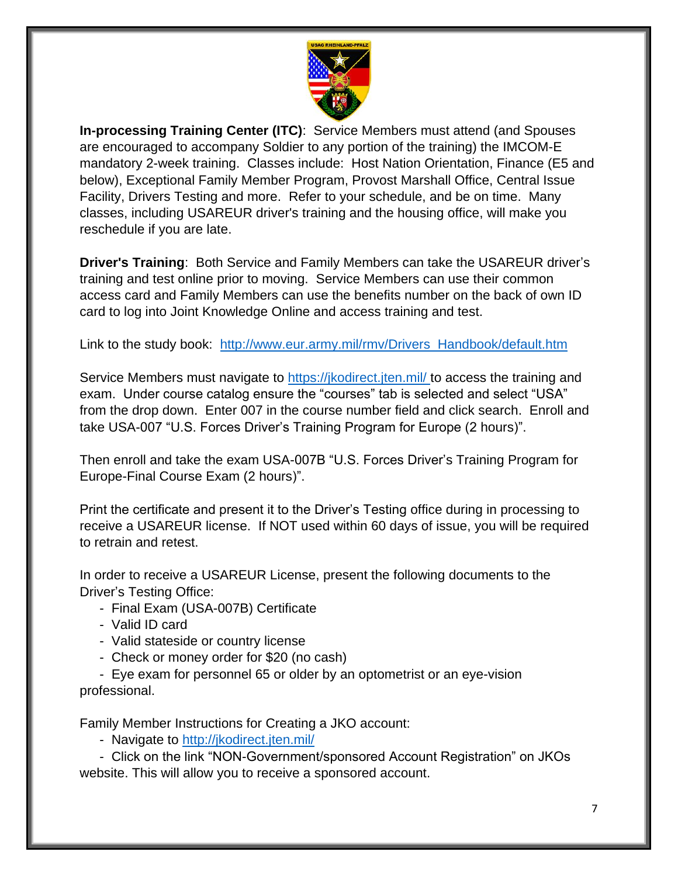

**In-processing Training Center (ITC)**: Service Members must attend (and Spouses are encouraged to accompany Soldier to any portion of the training) the IMCOM-E mandatory 2-week training. Classes include: Host Nation Orientation, Finance (E5 and below), Exceptional Family Member Program, Provost Marshall Office, Central Issue Facility, Drivers Testing and more. Refer to your schedule, and be on time. Many classes, including USAREUR driver's training and the housing office, will make you reschedule if you are late.

**Driver's Training**: Both Service and Family Members can take the USAREUR driver's training and test online prior to moving. Service Members can use their common access card and Family Members can use the benefits number on the back of own ID card to log into Joint Knowledge Online and access training and test.

Link to the study book: [http://www.eur.army.mil/rmv/Drivers\\_Handbook/default.htm](http://www.eur.army.mil/rmv/Drivers_Handbook/default.htm)

Service Members must navigate to<https://jkodirect.jten.mil/> to access the training and exam. Under course catalog ensure the "courses" tab is selected and select "USA" from the drop down. Enter 007 in the course number field and click search. Enroll and take USA-007 "U.S. Forces Driver's Training Program for Europe (2 hours)".

Then enroll and take the exam USA-007B "U.S. Forces Driver's Training Program for Europe-Final Course Exam (2 hours)".

Print the certificate and present it to the Driver's Testing office during in processing to receive a USAREUR license. If NOT used within 60 days of issue, you will be required to retrain and retest.

In order to receive a USAREUR License, present the following documents to the Driver's Testing Office:

- Final Exam (USA-007B) Certificate
- Valid ID card
- Valid stateside or country license
- Check or money order for \$20 (no cash)

- Eye exam for personnel 65 or older by an optometrist or an eye-vision professional.

Family Member Instructions for Creating a JKO account:

- Navigate to<http://jkodirect.jten.mil/>

- Click on the link "NON-Government/sponsored Account Registration" on JKOs website. This will allow you to receive a sponsored account.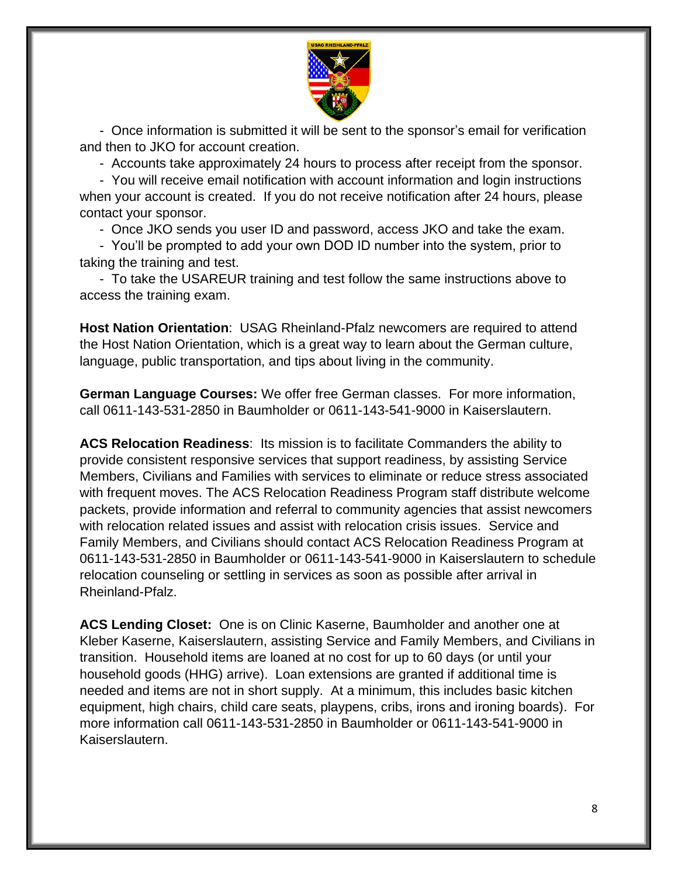

- Once information is submitted it will be sent to the sponsor's email for verification and then to JKO for account creation.

- Accounts take approximately 24 hours to process after receipt from the sponsor.

- You will receive email notification with account information and login instructions when your account is created. If you do not receive notification after 24 hours, please contact your sponsor.

- Once JKO sends you user ID and password, access JKO and take the exam.

- You'll be prompted to add your own DOD ID number into the system, prior to taking the training and test.

- To take the USAREUR training and test follow the same instructions above to access the training exam.

**Host Nation Orientation**: USAG Rheinland-Pfalz newcomers are required to attend the Host Nation Orientation, which is a great way to learn about the German culture, language, public transportation, and tips about living in the community.

**German Language Courses:** We offer free German classes. For more information, call 0611-143-531-2850 in Baumholder or 0611-143-541-9000 in Kaiserslautern.

**ACS Relocation Readiness**: Its mission is to facilitate Commanders the ability to provide consistent responsive services that support readiness, by assisting Service Members, Civilians and Families with services to eliminate or reduce stress associated with frequent moves. The ACS Relocation Readiness Program staff distribute welcome packets, provide information and referral to community agencies that assist newcomers with relocation related issues and assist with relocation crisis issues. Service and Family Members, and Civilians should contact ACS Relocation Readiness Program at 0611-143-531-2850 in Baumholder or 0611-143-541-9000 in Kaiserslautern to schedule relocation counseling or settling in services as soon as possible after arrival in Rheinland-Pfalz.

**ACS Lending Closet:** One is on Clinic Kaserne, Baumholder and another one at Kleber Kaserne, Kaiserslautern, assisting Service and Family Members, and Civilians in transition. Household items are loaned at no cost for up to 60 days (or until your household goods (HHG) arrive). Loan extensions are granted if additional time is needed and items are not in short supply. At a minimum, this includes basic kitchen equipment, high chairs, child care seats, playpens, cribs, irons and ironing boards). For more information call 0611-143-531-2850 in Baumholder or 0611-143-541-9000 in Kaiserslautern.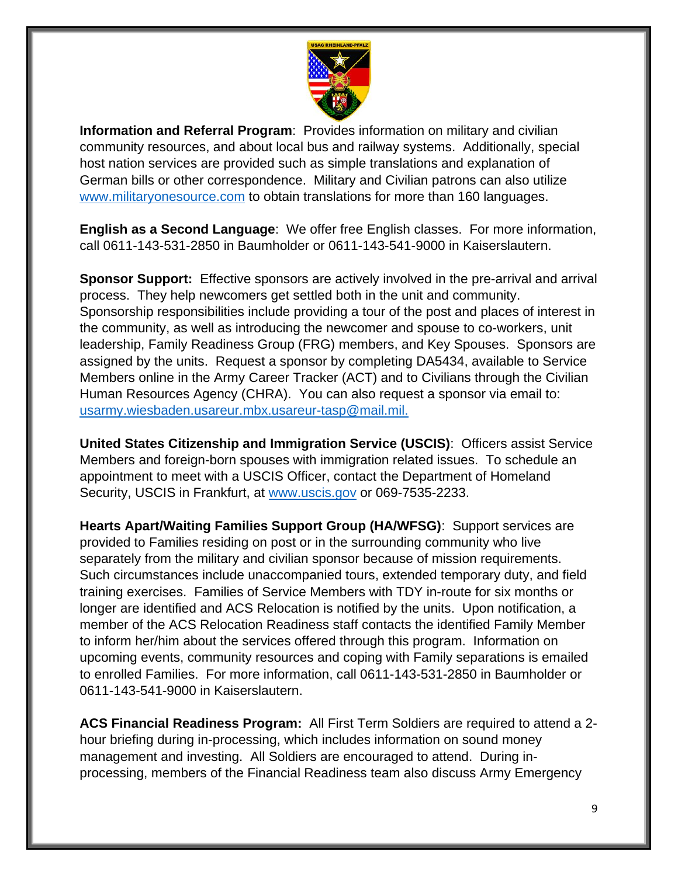

**Information and Referral Program**: Provides information on military and civilian community resources, and about local bus and railway systems. Additionally, special host nation services are provided such as simple translations and explanation of German bills or other correspondence. Military and Civilian patrons can also utilize [www.militaryonesource.com](http://www.militaryonesource.com/) to obtain translations for more than 160 languages.

**English as a Second Language**: We offer free English classes. For more information, call 0611-143-531-2850 in Baumholder or 0611-143-541-9000 in Kaiserslautern.

**Sponsor Support:** Effective sponsors are actively involved in the pre-arrival and arrival process. They help newcomers get settled both in the unit and community. Sponsorship responsibilities include providing a tour of the post and places of interest in the community, as well as introducing the newcomer and spouse to co-workers, unit leadership, Family Readiness Group (FRG) members, and Key Spouses. Sponsors are assigned by the units. Request a sponsor by completing DA5434, available to Service Members online in the Army Career Tracker (ACT) and to Civilians through the Civilian Human Resources Agency (CHRA). You can also request a sponsor via email to: [usarmy.wiesbaden.usareur.mbx.usareur-tasp@mail.mil.](mailto:usarmy.wiesbaden.usareur.mbx.usareur-tasp@mail.mil)

**United States Citizenship and Immigration Service (USCIS)**: Officers assist Service Members and foreign-born spouses with immigration related issues. To schedule an appointment to meet with a USCIS Officer, contact the Department of Homeland Security, USCIS in Frankfurt, at [www.uscis.gov](http://www.uscis.gov/) or 069-7535-2233.

**Hearts Apart/Waiting Families Support Group (HA/WFSG)**: Support services are provided to Families residing on post or in the surrounding community who live separately from the military and civilian sponsor because of mission requirements. Such circumstances include unaccompanied tours, extended temporary duty, and field training exercises. Families of Service Members with TDY in-route for six months or longer are identified and ACS Relocation is notified by the units. Upon notification, a member of the ACS Relocation Readiness staff contacts the identified Family Member to inform her/him about the services offered through this program. Information on upcoming events, community resources and coping with Family separations is emailed to enrolled Families. For more information, call 0611-143-531-2850 in Baumholder or 0611-143-541-9000 in Kaiserslautern.

**ACS Financial Readiness Program:** All First Term Soldiers are required to attend a 2 hour briefing during in-processing, which includes information on sound money management and investing. All Soldiers are encouraged to attend. During inprocessing, members of the Financial Readiness team also discuss Army Emergency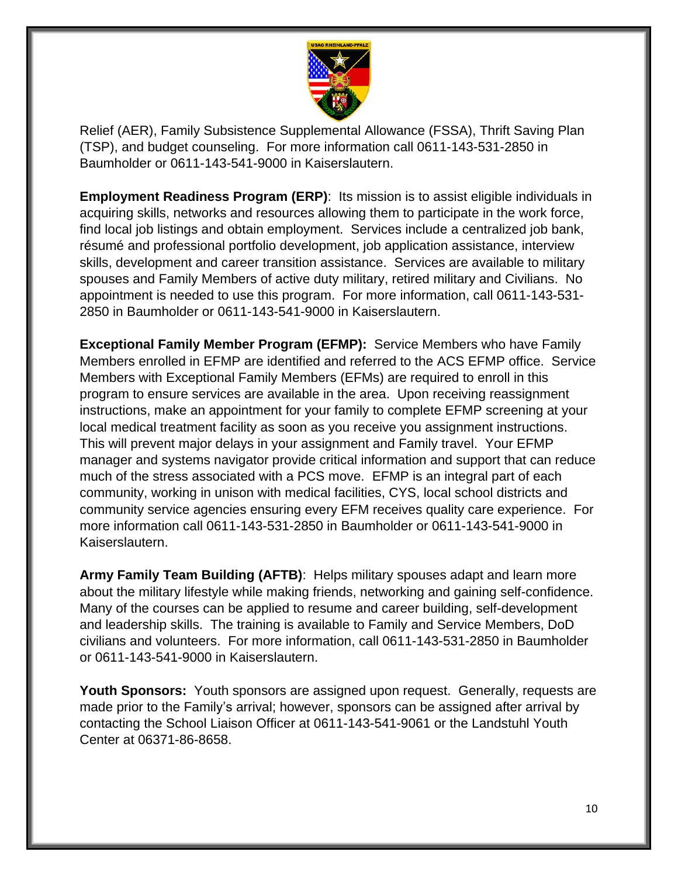

Relief (AER), Family Subsistence Supplemental Allowance (FSSA), Thrift Saving Plan (TSP), and budget counseling. For more information call 0611-143-531-2850 in Baumholder or 0611-143-541-9000 in Kaiserslautern.

**Employment Readiness Program (ERP):** Its mission is to assist eligible individuals in acquiring skills, networks and resources allowing them to participate in the work force, find local job listings and obtain employment. Services include a centralized job bank, résumé and professional portfolio development, job application assistance, interview skills, development and career transition assistance. Services are available to military spouses and Family Members of active duty military, retired military and Civilians. No appointment is needed to use this program. For more information, call 0611-143-531- 2850 in Baumholder or 0611-143-541-9000 in Kaiserslautern.

**Exceptional Family Member Program (EFMP):** Service Members who have Family Members enrolled in EFMP are identified and referred to the ACS EFMP office. Service Members with Exceptional Family Members (EFMs) are required to enroll in this program to ensure services are available in the area. Upon receiving reassignment instructions, make an appointment for your family to complete EFMP screening at your local medical treatment facility as soon as you receive you assignment instructions. This will prevent major delays in your assignment and Family travel. Your EFMP manager and systems navigator provide critical information and support that can reduce much of the stress associated with a PCS move. EFMP is an integral part of each community, working in unison with medical facilities, CYS, local school districts and community service agencies ensuring every EFM receives quality care experience. For more information call 0611-143-531-2850 in Baumholder or 0611-143-541-9000 in Kaiserslautern.

**Army Family Team Building (AFTB)**: Helps military spouses adapt and learn more about the military lifestyle while making friends, networking and gaining self-confidence. Many of the courses can be applied to resume and career building, self-development and leadership skills. The training is available to Family and Service Members, DoD civilians and volunteers. For more information, call 0611-143-531-2850 in Baumholder or 0611-143-541-9000 in Kaiserslautern.

**Youth Sponsors:** Youth sponsors are assigned upon request. Generally, requests are made prior to the Family's arrival; however, sponsors can be assigned after arrival by contacting the School Liaison Officer at 0611-143-541-9061 or the Landstuhl Youth Center at 06371-86-8658.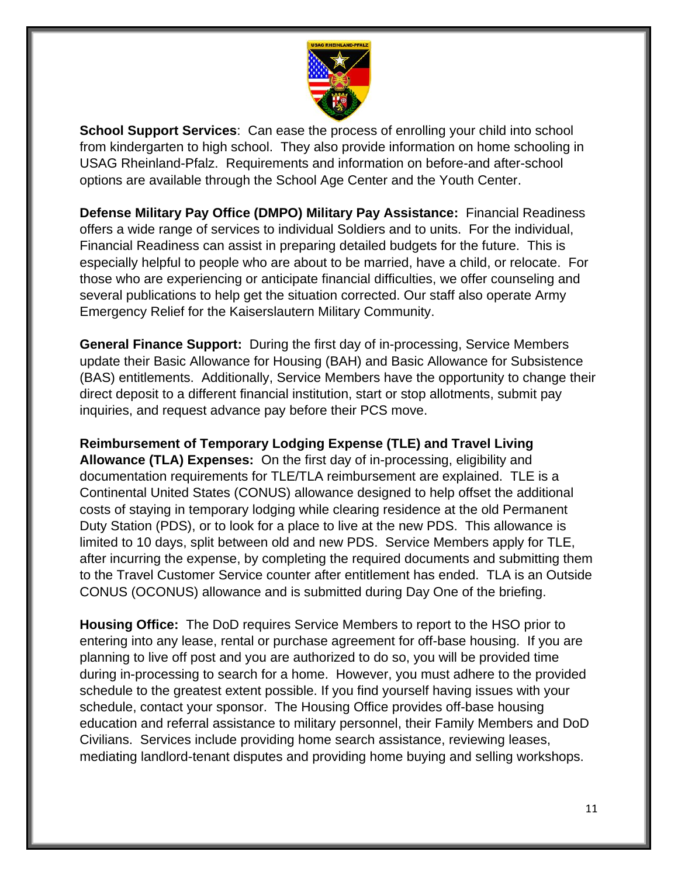

**School Support Services**: Can ease the process of enrolling your child into school from kindergarten to high school. They also provide information on home schooling in USAG Rheinland-Pfalz. Requirements and information on before-and after-school options are available through the School Age Center and the Youth Center.

**Defense Military Pay Office (DMPO) Military Pay Assistance:** Financial Readiness offers a wide range of services to individual Soldiers and to units. For the individual, Financial Readiness can assist in preparing detailed budgets for the future. This is especially helpful to people who are about to be married, have a child, or relocate. For those who are experiencing or anticipate financial difficulties, we offer counseling and several publications to help get the situation corrected. Our staff also operate Army Emergency Relief for the Kaiserslautern Military Community.

**General Finance Support:** During the first day of in-processing, Service Members update their Basic Allowance for Housing (BAH) and Basic Allowance for Subsistence (BAS) entitlements. Additionally, Service Members have the opportunity to change their direct deposit to a different financial institution, start or stop allotments, submit pay inquiries, and request advance pay before their PCS move.

**Reimbursement of Temporary Lodging Expense (TLE) and Travel Living Allowance (TLA) Expenses:** On the first day of in-processing, eligibility and documentation requirements for TLE/TLA reimbursement are explained. TLE is a Continental United States (CONUS) allowance designed to help offset the additional costs of staying in temporary lodging while clearing residence at the old Permanent Duty Station (PDS), or to look for a place to live at the new PDS. This allowance is limited to 10 days, split between old and new PDS. Service Members apply for TLE, after incurring the expense, by completing the required documents and submitting them to the Travel Customer Service counter after entitlement has ended. TLA is an Outside CONUS (OCONUS) allowance and is submitted during Day One of the briefing.

**Housing Office:** The DoD requires Service Members to report to the HSO prior to entering into any lease, rental or purchase agreement for off-base housing. If you are planning to live off post and you are authorized to do so, you will be provided time during in-processing to search for a home. However, you must adhere to the provided schedule to the greatest extent possible. If you find yourself having issues with your schedule, contact your sponsor. The Housing Office provides off-base housing education and referral assistance to military personnel, their Family Members and DoD Civilians. Services include providing home search assistance, reviewing leases, mediating landlord-tenant disputes and providing home buying and selling workshops.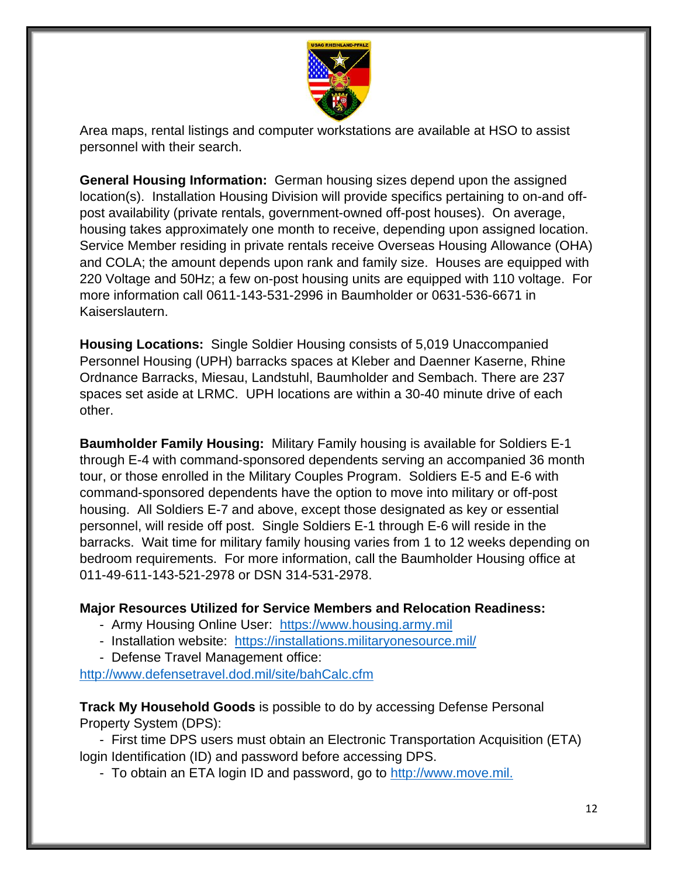

Area maps, rental listings and computer workstations are available at HSO to assist personnel with their search.

**General Housing Information:** German housing sizes depend upon the assigned location(s). Installation Housing Division will provide specifics pertaining to on-and offpost availability (private rentals, government-owned off-post houses). On average, housing takes approximately one month to receive, depending upon assigned location. Service Member residing in private rentals receive Overseas Housing Allowance (OHA) and COLA; the amount depends upon rank and family size. Houses are equipped with 220 Voltage and 50Hz; a few on-post housing units are equipped with 110 voltage. For more information call 0611-143-531-2996 in Baumholder or 0631-536-6671 in Kaiserslautern.

**Housing Locations:** Single Soldier Housing consists of 5,019 Unaccompanied Personnel Housing (UPH) barracks spaces at Kleber and Daenner Kaserne, Rhine Ordnance Barracks, Miesau, Landstuhl, Baumholder and Sembach. There are 237 spaces set aside at LRMC. UPH locations are within a 30-40 minute drive of each other.

**Baumholder Family Housing:** Military Family housing is available for Soldiers E-1 through E-4 with command-sponsored dependents serving an accompanied 36 month tour, or those enrolled in the Military Couples Program. Soldiers E-5 and E-6 with command-sponsored dependents have the option to move into military or off-post housing. All Soldiers E-7 and above, except those designated as key or essential personnel, will reside off post. Single Soldiers E-1 through E-6 will reside in the barracks. Wait time for military family housing varies from 1 to 12 weeks depending on bedroom requirements. For more information, call the Baumholder Housing office at 011-49-611-143-521-2978 or DSN 314-531-2978.

#### **Major Resources Utilized for Service Members and Relocation Readiness:**

- Army Housing Online User: [https://www.housing.army.mil](https://www.housing.army.mil/)
- Installation website: <https://installations.militaryonesource.mil/>
- Defense Travel Management office:

<http://www.defensetravel.dod.mil/site/bahCalc.cfm>

**Track My Household Goods** is possible to do by accessing Defense Personal Property System (DPS):

- First time DPS users must obtain an Electronic Transportation Acquisition (ETA) login Identification (ID) and password before accessing DPS.

- To obtain an ETA login ID and password, go to [http://www.move.mil.](http://www.move.mil/)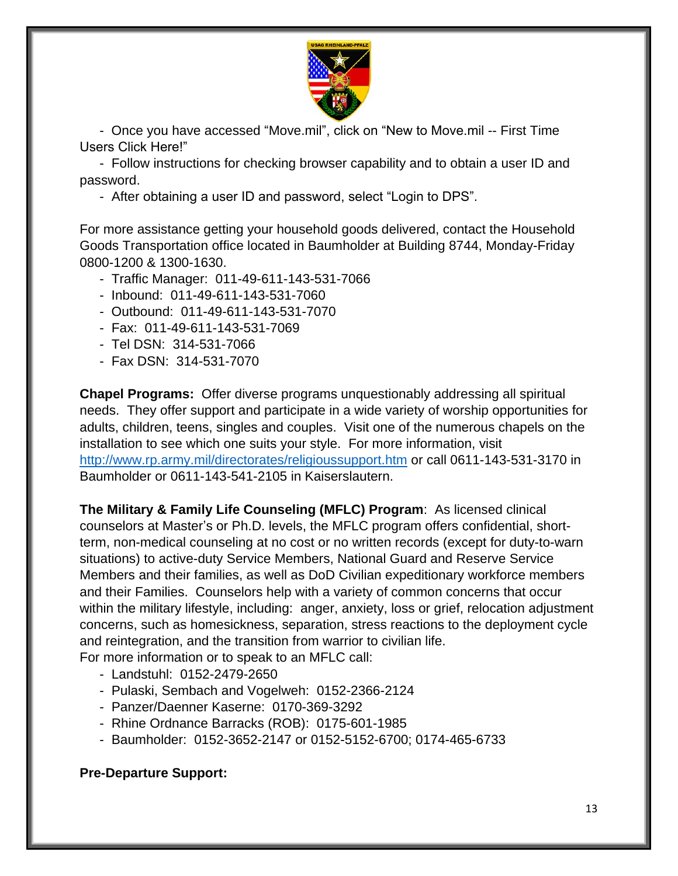

- Once you have accessed "Move.mil", click on "New to Move.mil -- First Time Users Click Here!"

- Follow instructions for checking browser capability and to obtain a user ID and password.

- After obtaining a user ID and password, select "Login to DPS".

For more assistance getting your household goods delivered, contact the Household Goods Transportation office located in Baumholder at Building 8744, Monday-Friday 0800-1200 & 1300-1630.

- Traffic Manager: 011-49-611-143-531-7066
- Inbound: 011-49-611-143-531-7060
- Outbound: 011-49-611-143-531-7070
- Fax: 011-49-611-143-531-7069
- Tel DSN: 314-531-7066
- Fax DSN: 314-531-7070

**Chapel Programs:** Offer diverse programs unquestionably addressing all spiritual needs. They offer support and participate in a wide variety of worship opportunities for adults, children, teens, singles and couples. Visit one of the numerous chapels on the installation to see which one suits your style. For more information, visit [http://www.rp.army.mil/directorates/religioussupport.htm](http://www.rp.army.mil/directorates/religioussupport.htmm) or call 0611-143-531-3170 in Baumholder or 0611-143-541-2105 in Kaiserslautern.

**The Military & Family Life Counseling (MFLC) Program**: As licensed clinical counselors at Master's or Ph.D. levels, the MFLC program offers confidential, shortterm, non-medical counseling at no cost or no written records (except for duty-to-warn situations) to active-duty Service Members, National Guard and Reserve Service Members and their families, as well as DoD Civilian expeditionary workforce members and their Families. Counselors help with a variety of common concerns that occur within the military lifestyle, including: anger, anxiety, loss or grief, relocation adjustment concerns, such as homesickness, separation, stress reactions to the deployment cycle and reintegration, and the transition from warrior to civilian life.

For more information or to speak to an MFLC call:

- Landstuhl: [0152-2479-2650](tel:+4915224792650)
- Pulaski, Sembach and Vogelweh: [015](tel:+491757923332)2-2366-2124
- Panzer/Daenner Kaserne: [0170-369-3292](tel:+491703693292)
- Rhine Ordnance Barracks (ROB): [0175-601-1985](tel:+491756011985)
- Baumholder: [0152-3652-2147](tel:+4915236522147) or [0152-5152-6700;](tel:+4915251526700) 0174-465-6733

#### **Pre-Departure Support:**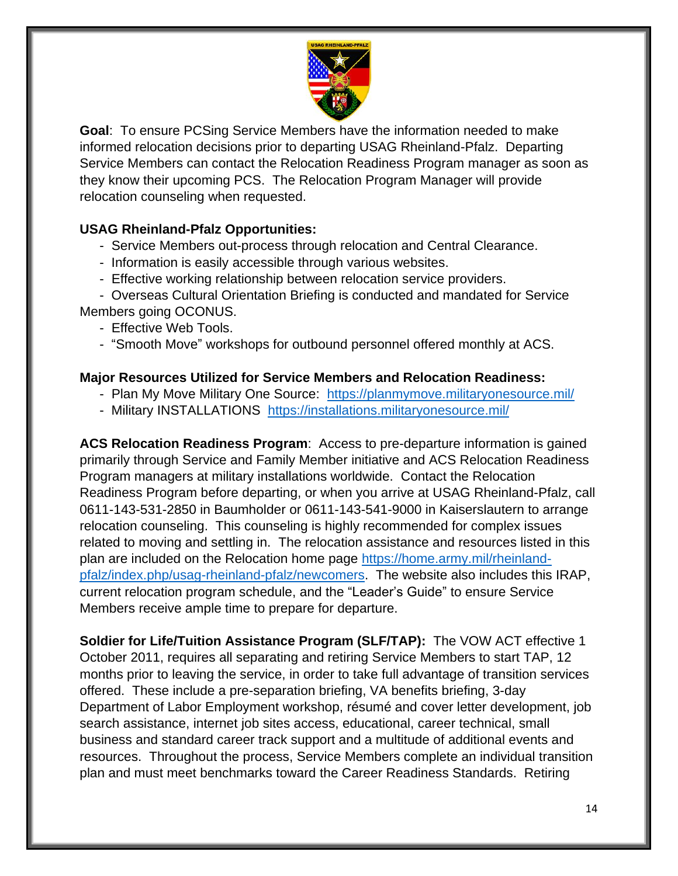

**Goal**: To ensure PCSing Service Members have the information needed to make informed relocation decisions prior to departing USAG Rheinland-Pfalz. Departing Service Members can contact the Relocation Readiness Program manager as soon as they know their upcoming PCS. The Relocation Program Manager will provide relocation counseling when requested.

## **USAG Rheinland-Pfalz Opportunities:**

- Service Members out-process through relocation and Central Clearance.
- Information is easily accessible through various websites.
- Effective working relationship between relocation service providers.

- Overseas Cultural Orientation Briefing is conducted and mandated for Service Members going OCONUS.

- Effective Web Tools.
- "Smooth Move" workshops for outbound personnel offered monthly at ACS.

#### **Major Resources Utilized for Service Members and Relocation Readiness:**

- Plan My Move Military One Source: <https://planmymove.militaryonesource.mil/>
- Military INSTALLATIONS <https://installations.militaryonesource.mil/>

**ACS Relocation Readiness Program**: Access to pre-departure information is gained primarily through Service and Family Member initiative and ACS Relocation Readiness Program managers at military installations worldwide. Contact the Relocation Readiness Program before departing, or when you arrive at USAG Rheinland-Pfalz, call 0611-143-531-2850 in Baumholder or 0611-143-541-9000 in Kaiserslautern to arrange relocation counseling. This counseling is highly recommended for complex issues related to moving and settling in. The relocation assistance and resources listed in this plan are included on the Relocation home page [https://home.army.mil/rheinland](https://home.army.mil/rheinland-pfalz/index.php/usag-rheinland-pfalz/newcomers)[pfalz/index.php/usag-rheinland-pfalz/newcomers.](https://home.army.mil/rheinland-pfalz/index.php/usag-rheinland-pfalz/newcomers) The website also includes this IRAP, current relocation program schedule, and the "Leader's Guide" to ensure Service Members receive ample time to prepare for departure.

**Soldier for Life/Tuition Assistance Program (SLF/TAP):** The VOW ACT effective 1 October 2011, requires all separating and retiring Service Members to start TAP, 12 months prior to leaving the service, in order to take full advantage of transition services offered. These include a pre-separation briefing, VA benefits briefing, 3-day Department of Labor Employment workshop, résumé and cover letter development, job search assistance, internet job sites access, educational, career technical, small business and standard career track support and a multitude of additional events and resources. Throughout the process, Service Members complete an individual transition plan and must meet benchmarks toward the Career Readiness Standards. Retiring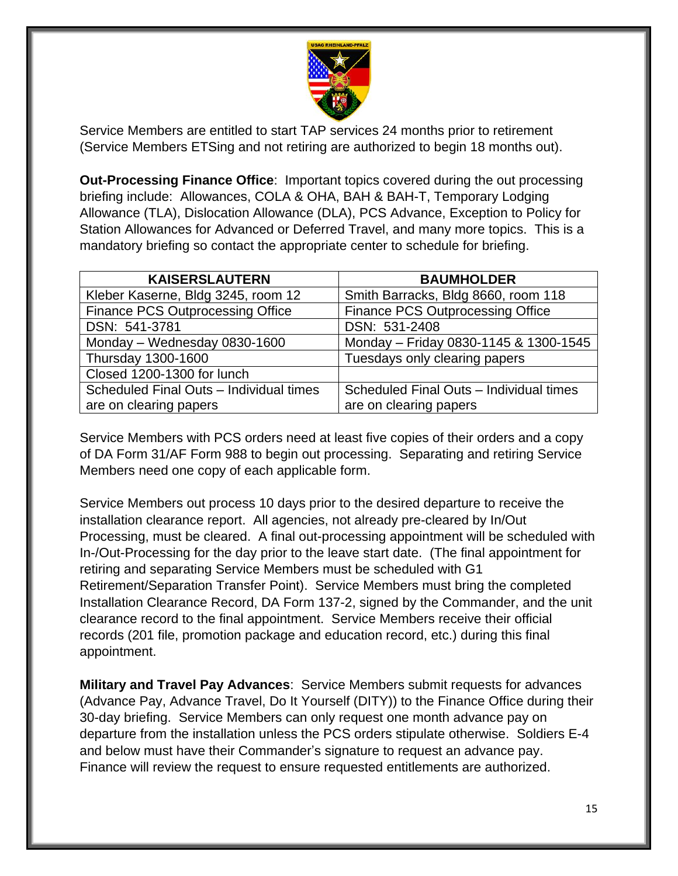

Service Members are entitled to start TAP services 24 months prior to retirement (Service Members ETSing and not retiring are authorized to begin 18 months out).

**Out-Processing Finance Office**: Important topics covered during the out processing briefing include: Allowances, COLA & OHA, BAH & BAH-T, Temporary Lodging Allowance (TLA), Dislocation Allowance (DLA), PCS Advance, Exception to Policy for Station Allowances for Advanced or Deferred Travel, and many more topics. This is a mandatory briefing so contact the appropriate center to schedule for briefing.

| <b>KAISERSLAUTERN</b>                   | <b>BAUMHOLDER</b>                       |
|-----------------------------------------|-----------------------------------------|
| Kleber Kaserne, Bldg 3245, room 12      | Smith Barracks, Bldg 8660, room 118     |
| <b>Finance PCS Outprocessing Office</b> | <b>Finance PCS Outprocessing Office</b> |
| DSN: 541-3781                           | DSN: 531-2408                           |
| Monday - Wednesday 0830-1600            | Monday - Friday 0830-1145 & 1300-1545   |
| Thursday 1300-1600                      | Tuesdays only clearing papers           |
| Closed 1200-1300 for lunch              |                                         |
| Scheduled Final Outs - Individual times | Scheduled Final Outs - Individual times |
| are on clearing papers                  | are on clearing papers                  |

Service Members with PCS orders need at least five copies of their orders and a copy of DA Form 31/AF Form 988 to begin out processing. Separating and retiring Service Members need one copy of each applicable form.

Service Members out process 10 days prior to the desired departure to receive the installation clearance report. All agencies, not already pre-cleared by In/Out Processing, must be cleared. A final out-processing appointment will be scheduled with In-/Out-Processing for the day prior to the leave start date. (The final appointment for retiring and separating Service Members must be scheduled with G1 Retirement/Separation Transfer Point). Service Members must bring the completed Installation Clearance Record, DA Form 137-2, signed by the Commander, and the unit clearance record to the final appointment. Service Members receive their official records (201 file, promotion package and education record, etc.) during this final appointment.

**Military and Travel Pay Advances**: Service Members submit requests for advances (Advance Pay, Advance Travel, Do It Yourself (DITY)) to the Finance Office during their 30-day briefing. Service Members can only request one month advance pay on departure from the installation unless the PCS orders stipulate otherwise. Soldiers E-4 and below must have their Commander's signature to request an advance pay. Finance will review the request to ensure requested entitlements are authorized.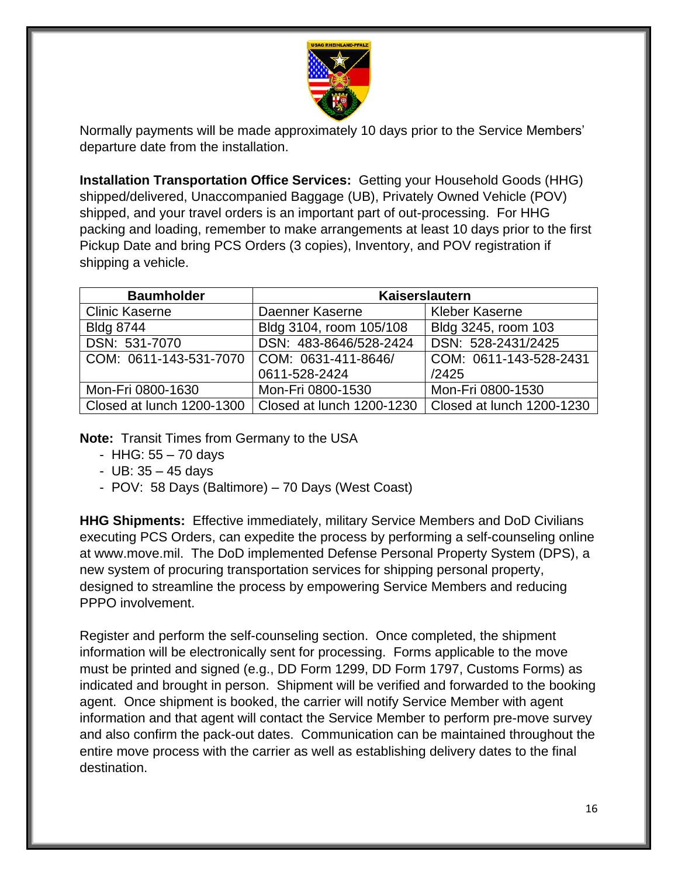

Normally payments will be made approximately 10 days prior to the Service Members' departure date from the installation.

**Installation Transportation Office Services:** Getting your Household Goods (HHG) shipped/delivered, Unaccompanied Baggage (UB), Privately Owned Vehicle (POV) shipped, and your travel orders is an important part of out-processing. For HHG packing and loading, remember to make arrangements at least 10 days prior to the first Pickup Date and bring PCS Orders (3 copies), Inventory, and POV registration if shipping a vehicle.

| <b>Baumholder</b>         | Kaiserslautern            |                           |
|---------------------------|---------------------------|---------------------------|
| <b>Clinic Kaserne</b>     | Daenner Kaserne           | <b>Kleber Kaserne</b>     |
| <b>Bldg 8744</b>          | Bldg 3104, room 105/108   | Bldg 3245, room 103       |
| DSN: 531-7070             | DSN: 483-8646/528-2424    | DSN: 528-2431/2425        |
| COM: 0611-143-531-7070    | COM: 0631-411-8646/       | COM: 0611-143-528-2431    |
|                           | 0611-528-2424             | /2425                     |
| Mon-Fri 0800-1630         | Mon-Fri 0800-1530         | Mon-Fri 0800-1530         |
| Closed at lunch 1200-1300 | Closed at lunch 1200-1230 | Closed at lunch 1200-1230 |

**Note:** Transit Times from Germany to the USA

- HHG: 55 70 days
- UB: 35 45 days
- POV: 58 Days (Baltimore) 70 Days (West Coast)

**HHG Shipments:** Effective immediately, military Service Members and DoD Civilians executing PCS Orders, can expedite the process by performing a self-counseling online at www.move.mil. The DoD implemented Defense Personal Property System (DPS), a new system of procuring transportation services for shipping personal property, designed to streamline the process by empowering Service Members and reducing PPPO involvement.

Register and perform the self-counseling section. Once completed, the shipment information will be electronically sent for processing. Forms applicable to the move must be printed and signed (e.g., DD Form 1299, DD Form 1797, Customs Forms) as indicated and brought in person. Shipment will be verified and forwarded to the booking agent. Once shipment is booked, the carrier will notify Service Member with agent information and that agent will contact the Service Member to perform pre-move survey and also confirm the pack-out dates. Communication can be maintained throughout the entire move process with the carrier as well as establishing delivery dates to the final destination.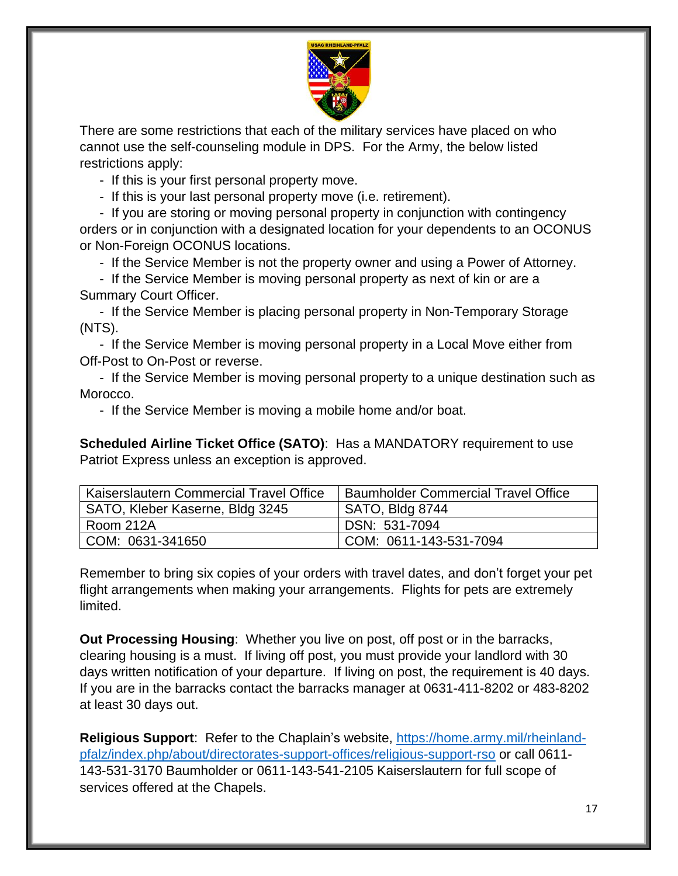

There are some restrictions that each of the military services have placed on who cannot use the self-counseling module in DPS. For the Army, the below listed restrictions apply:

- If this is your first personal property move.

- If this is your last personal property move (i.e. retirement).

- If you are storing or moving personal property in conjunction with contingency orders or in conjunction with a designated location for your dependents to an OCONUS or Non-Foreign OCONUS locations.

- If the Service Member is not the property owner and using a Power of Attorney.

- If the Service Member is moving personal property as next of kin or are a Summary Court Officer.

- If the Service Member is placing personal property in Non-Temporary Storage (NTS).

- If the Service Member is moving personal property in a Local Move either from Off-Post to On-Post or reverse.

- If the Service Member is moving personal property to a unique destination such as Morocco.

- If the Service Member is moving a mobile home and/or boat.

**Scheduled Airline Ticket Office (SATO)**: Has a MANDATORY requirement to use Patriot Express unless an exception is approved.

| Kaiserslautern Commercial Travel Office | <b>Baumholder Commercial Travel Office</b> |
|-----------------------------------------|--------------------------------------------|
| SATO, Kleber Kaserne, Bldg 3245         | SATO, Bldg 8744                            |
| l Room 212A                             | DSN: 531-7094                              |
| COM: 0631-341650                        | COM: 0611-143-531-7094                     |

Remember to bring six copies of your orders with travel dates, and don't forget your pet flight arrangements when making your arrangements. Flights for pets are extremely limited.

**Out Processing Housing**: Whether you live on post, off post or in the barracks, clearing housing is a must. If living off post, you must provide your landlord with 30 days written notification of your departure. If living on post, the requirement is 40 days. If you are in the barracks contact the barracks manager at 0631-411-8202 or 483-8202 at least 30 days out.

**Religious Support**: Refer to the Chaplain's website, [https://home.army.mil/rheinland](https://home.army.mil/rheinland-pfalz/index.php/about/directorates-support-offices/religious-support-rso)[pfalz/index.php/about/directorates-support-offices/religious-support-rso](https://home.army.mil/rheinland-pfalz/index.php/about/directorates-support-offices/religious-support-rso) or call 0611- 143-531-3170 Baumholder or 0611-143-541-2105 Kaiserslautern for full scope of services offered at the Chapels.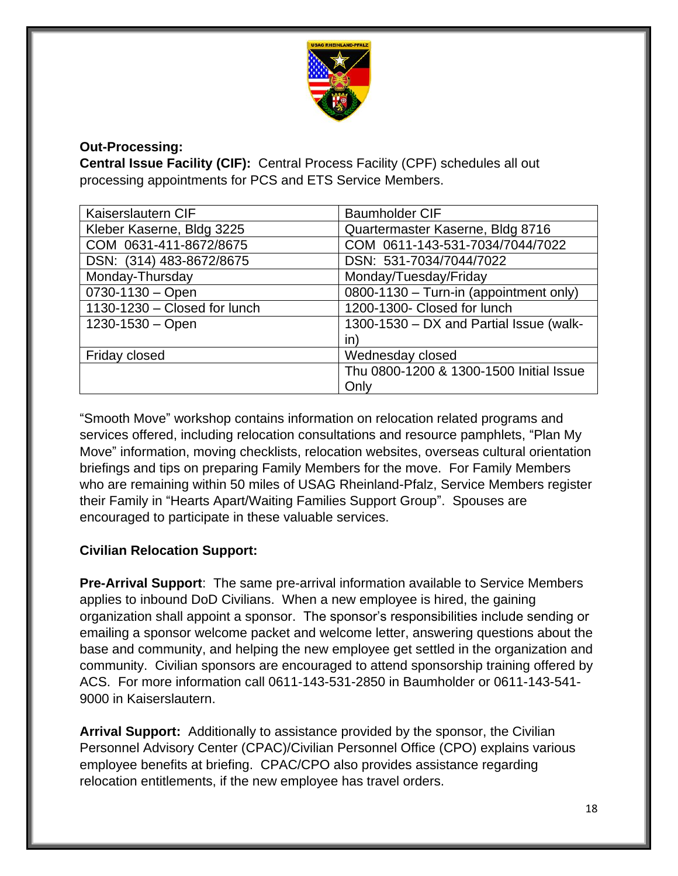

### **Out-Processing:**

**Central Issue Facility (CIF):** Central Process Facility (CPF) schedules all out processing appointments for PCS and ETS Service Members.

| Kaiserslautern CIF           | <b>Baumholder CIF</b>                    |
|------------------------------|------------------------------------------|
| Kleber Kaserne, Bldg 3225    | Quartermaster Kaserne, Bldg 8716         |
| COM 0631-411-8672/8675       | COM 0611-143-531-7034/7044/7022          |
| DSN: (314) 483-8672/8675     | DSN: 531-7034/7044/7022                  |
| Monday-Thursday              | Monday/Tuesday/Friday                    |
| $0730 - 1130 - Open$         | $0800-1130$ – Turn-in (appointment only) |
| 1130-1230 - Closed for lunch | 1200-1300- Closed for lunch              |
| $1230 - 1530 - Open$         | 1300-1530 - DX and Partial Issue (walk-  |
|                              | in)                                      |
| Friday closed                | Wednesday closed                         |
|                              | Thu 0800-1200 & 1300-1500 Initial Issue  |
|                              | Only                                     |

"Smooth Move" workshop contains information on relocation related programs and services offered, including relocation consultations and resource pamphlets, "Plan My Move" information, moving checklists, relocation websites, overseas cultural orientation briefings and tips on preparing Family Members for the move. For Family Members who are remaining within 50 miles of USAG Rheinland-Pfalz, Service Members register their Family in "Hearts Apart/Waiting Families Support Group". Spouses are encouraged to participate in these valuable services.

## **Civilian Relocation Support:**

**Pre-Arrival Support**: The same pre-arrival information available to Service Members applies to inbound DoD Civilians. When a new employee is hired, the gaining organization shall appoint a sponsor. The sponsor's responsibilities include sending or emailing a sponsor welcome packet and welcome letter, answering questions about the base and community, and helping the new employee get settled in the organization and community. Civilian sponsors are encouraged to attend sponsorship training offered by ACS. For more information call 0611-143-531-2850 in Baumholder or 0611-143-541- 9000 in Kaiserslautern.

**Arrival Support:** Additionally to assistance provided by the sponsor, the Civilian Personnel Advisory Center (CPAC)/Civilian Personnel Office (CPO) explains various employee benefits at briefing. CPAC/CPO also provides assistance regarding relocation entitlements, if the new employee has travel orders.